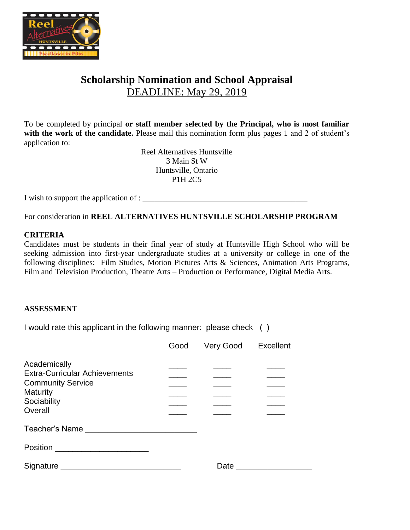

## **Scholarship Nomination and School Appraisal** DEADLINE: May 29, 2019

To be completed by principal **or staff member selected by the Principal, who is most familiar**  with the work of the candidate. Please mail this nomination form plus pages 1 and 2 of student's application to:

> Reel Alternatives Huntsville 3 Main St W Huntsville, Ontario P1H 2C5

I wish to support the application of : \_\_\_\_\_\_\_\_\_\_\_\_\_\_\_\_\_\_\_\_\_\_\_\_\_\_\_\_\_\_\_\_\_\_\_\_\_\_\_\_\_

For consideration in **REEL ALTERNATIVES HUNTSVILLE SCHOLARSHIP PROGRAM**

#### **CRITERIA**

Candidates must be students in their final year of study at Huntsville High School who will be seeking admission into first-year undergraduate studies at a university or college in one of the following disciplines: Film Studies, Motion Pictures Arts & Sciences, Animation Arts Programs, Film and Television Production, Theatre Arts – Production or Performance, Digital Media Arts.

#### **ASSESSMENT**

I would rate this applicant in the following manner: please check ( )

|                                                                                                                               | Good | Very Good Excellent |  |
|-------------------------------------------------------------------------------------------------------------------------------|------|---------------------|--|
| Academically<br><b>Extra-Curricular Achievements</b><br><b>Community Service</b><br><b>Maturity</b><br>Sociability<br>Overall |      |                     |  |
| Teacher's Name                                                                                                                |      |                     |  |
|                                                                                                                               |      |                     |  |
| Signature Signature                                                                                                           |      | Date                |  |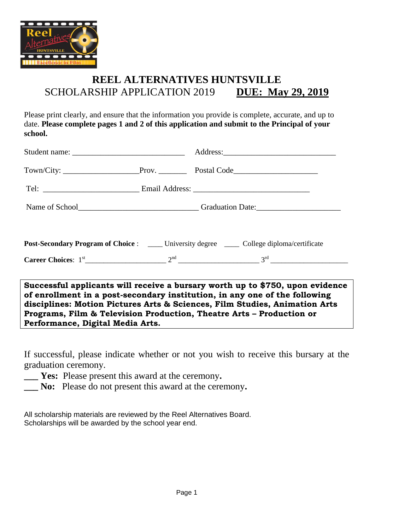

# **REEL ALTERNATIVES HUNTSVILLE** SCHOLARSHIP APPLICATION 2019 DUE: May 29, 2019

Please print clearly, and ensure that the information you provide is complete, accurate, and up to date. **Please complete pages 1 and 2 of this application and submit to the Principal of your school.**

|                                                                                                                                                            | Name of School<br><u>Name of School</u> |  |  |  |  |
|------------------------------------------------------------------------------------------------------------------------------------------------------------|-----------------------------------------|--|--|--|--|
|                                                                                                                                                            |                                         |  |  |  |  |
| <b>Post-Secondary Program of Choice :</b> ____ University degree ____ College diploma/certificate                                                          |                                         |  |  |  |  |
|                                                                                                                                                            |                                         |  |  |  |  |
| Successful applicants will receive a bursary worth up to \$750, upon evidence<br>of enrollment in a nost-secondary institution in any one of the following |                                         |  |  |  |  |

**of enrollment in a post-secondary institution, in any one of the following disciplines: Motion Pictures Arts & Sciences, Film Studies, Animation Arts Programs, Film & Television Production, Theatre Arts – Production or Performance, Digital Media Arts.**

If successful, please indicate whether or not you wish to receive this bursary at the graduation ceremony.

- **\_\_\_ Yes:** Please present this award at the ceremony**.**
- **\_\_\_ No:** Please do not present this award at the ceremony**.**

All scholarship materials are reviewed by the Reel Alternatives Board. Scholarships will be awarded by the school year end.